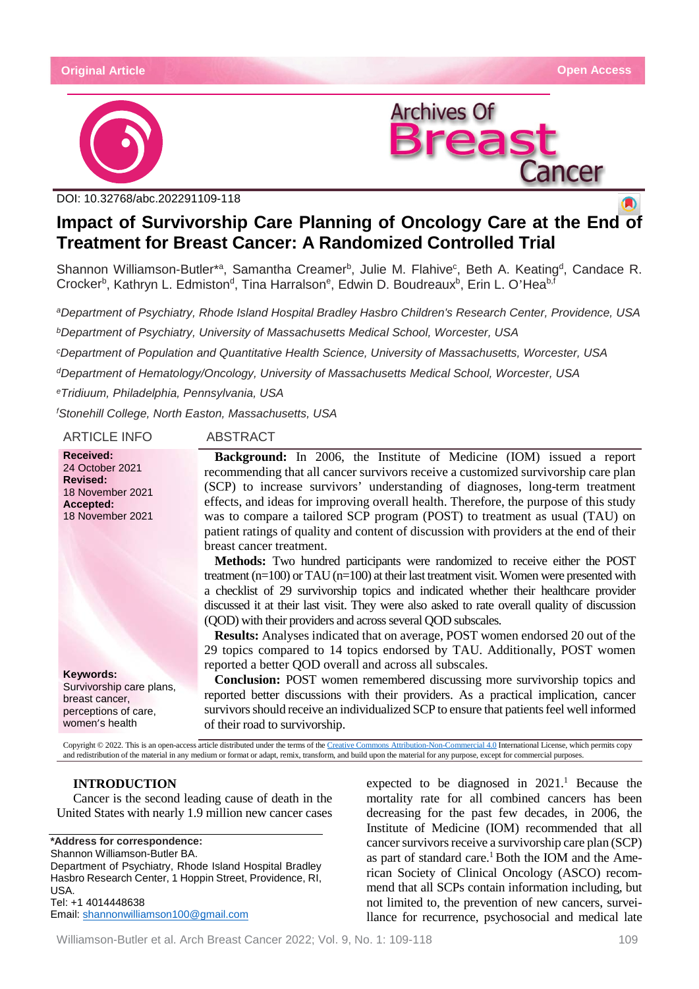



DOI: 10.32768/abc.202291109-118

# **Impact of Survivorship Care Planning of Oncology Care at the End of Treatment for Breast Cancer: A Randomized Controlled Trial**

Shannon Williamson-Butler\*<sup>a</sup>, Samantha Creamer<sup>b</sup>, Julie M. Flahive<sup>c</sup>, Beth A. Keating<sup>d</sup>, Candace R. Crocker<sup>b</sup>, Kathryn L. Edmiston<sup>d</sup>, Tina Harralson<sup>e</sup>, Edwin D. Boudreaux<sup>b</sup>, Erin L. O'Hea<sup>b,f</sup>

*aDepartment of Psychiatry, Rhode Island Hospital Bradley Hasbro Children's Research Center, Providence, USA bDepartment of Psychiatry, University of Massachusetts Medical School, Worcester, USA*

*cDepartment of Population and Quantitative Health Science, University of Massachusetts, Worcester, USA*

*dDepartment of Hematology/Oncology, University of Massachusetts Medical School, Worcester, USA*

*eTridiuum, Philadelphia, Pennsylvania, USA*

*f Stonehill College, North Easton, Massachusetts, USA*

ARTICLE INFO ABSTRACT

breast cancer treatment.

**Received:** 24 October 2021 **Revised:** 18 November 2021 **Accepted:** 18 November 2021

**Keywords:** Survivorship care plans, breast cancer, perceptions of care, women's health

**Background:** In 2006, the Institute of Medicine (IOM) issued a report recommending that all cancer survivors receive a customized survivorship care plan (SCP) to increase survivors' understanding of diagnoses, long-term treatment effects, and ideas for improving overall health. Therefore, the purpose of this study was to compare a tailored SCP program (POST) to treatment as usual (TAU) on patient ratings of quality and content of discussion with providers at the end of their

**Methods:** Two hundred participants were randomized to receive either the POST treatment  $(n=100)$  or TAU  $(n=100)$  at their last treatment visit. Women were presented with a checklist of 29 survivorship topics and indicated whether their healthcare provider discussed it at their last visit. They were also asked to rate overall quality of discussion (QOD) with their providers and across several QOD subscales.

**Results:** Analyses indicated that on average, POST women endorsed 20 out of the 29 topics compared to 14 topics endorsed by TAU. Additionally, POST women reported a better QOD overall and across all subscales.

**Conclusion:** POST women remembered discussing more survivorship topics and reported better discussions with their providers. As a practical implication, cancer survivors should receive an individualized SCP to ensure that patients feel well informed of their road to survivorship.

Copyright © 2022. This is an open-access article distributed under the terms of th[e Creative Commons Attribution-Non-Commercial 4.0](https://creativecommons.org/licenses/by-nc/4.0/) International License, which permits copy and redistribution of the material in any medium or format or adapt, remix, transform, and build upon the material for any purpose, except for commercial purposes.

# **INTRODUCTION**

Cancer is the second leading cause of death in the United States with nearly 1.9 million new cancer cases

**\*Address for correspondence:** Shannon Williamson-Butler BA. Department of Psychiatry, Rhode Island Hospital Bradley Hasbro Research Center, 1 Hoppin Street, Providence, RI, USA. Tel: [+1 4014448638](https://www.google.com/search?q=phone+number+Department+of+Psychiatry%2C+Rhode+Island+Hospital+Bradley+Hasbro+Research+Center%2C+1+Hoppin+Street%2C+Providence%2C+RI%2C+USA.&rlz=1C1CHBF_enCA893CA894&sxsrf=AOaemvLTIXLuKKTlI2K1mMcaPIsGoBahXA%3A1642917215618&ei=X-3sYY6iJdWfptQP5a-6kAM&ved=0ahUKEwjOzaDIl8f1AhXVj4kEHeWXDjIQ4dUDCA4&uact=5&oq=phone+number+Department+of+Psychiatry%2C+Rhode+Island+Hospital+Bradley+Hasbro+Research+Center%2C+1+Hoppin+Street%2C+Providence%2C+RI%2C+USA.&gs_lcp=Cgdnd3Mtd2l6EANKBAhBGABKBAhGGABQAFjUGGDDGWgAcAJ4AIABAIgBAJIBAJgBAKABAcABAQ&sclient=gws-wiz) Email[: shannonwilliamson100@gmail.com](mailto:shannonwilliamson100@gmail.com)

expected to be diagnosed in  $2021$ .<sup>1</sup> Because the mortality rate for all combined cancers has been decreasing for the past few decades, in 2006, the Institute of Medicine (IOM) recommended that all cancer survivors receive a survivorship care plan (SCP) as part of standard care.<sup>1</sup> Both the IOM and the American Society of Clinical Oncology (ASCO) recommend that all SCPs contain information including, but not limited to, the prevention of new cancers, surveillance for recurrence, psychosocial and medical late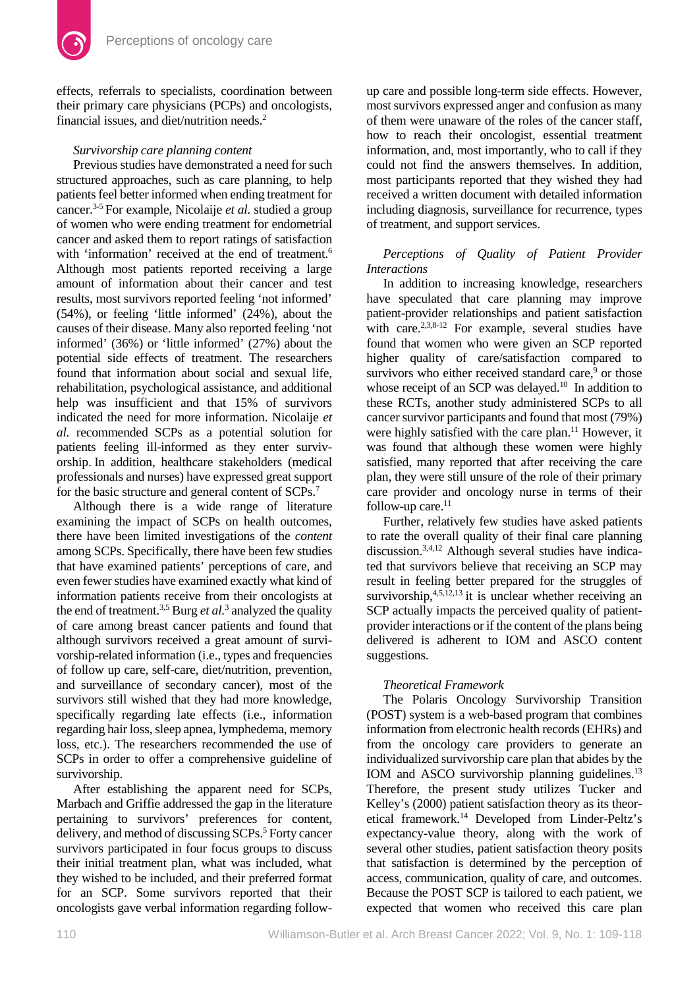

effects, referrals to specialists, coordination between their primary care physicians (PCPs) and oncologists, financial issues, and diet/nutrition needs.2

# *Survivorship care planning content*

Previous studies have demonstrated a need for such structured approaches, such as care planning, to help patients feel better informed when ending treatment for cancer.3-5 For example, Nicolaije *et al.* studied a group of women who were ending treatment for endometrial cancer and asked them to report ratings of satisfaction with 'information' received at the end of treatment.<sup>6</sup> Although most patients reported receiving a large amount of information about their cancer and test results, most survivors reported feeling 'not informed' (54%), or feeling 'little informed' (24%), about the causes of their disease. Many also reported feeling 'not informed' (36%) or 'little informed' (27%) about the potential side effects of treatment. The researchers found that information about social and sexual life, rehabilitation, psychological assistance, and additional help was insufficient and that 15% of survivors indicated the need for more information. Nicolaije *et al.* recommended SCPs as a potential solution for patients feeling ill-informed as they enter survivorship. In addition, healthcare stakeholders (medical professionals and nurses) have expressed great support for the basic structure and general content of SCPs.<sup>7</sup>

Although there is a wide range of literature examining the impact of SCPs on health outcomes, there have been limited investigations of the *content* among SCPs. Specifically, there have been few studies that have examined patients' perceptions of care, and even fewer studies have examined exactly what kind of information patients receive from their oncologists at the end of treatment.3,5 Burg *et al.*<sup>3</sup> analyzed the quality of care among breast cancer patients and found that although survivors received a great amount of survivorship-related information (i.e., types and frequencies of follow up care, self-care, diet/nutrition, prevention, and surveillance of secondary cancer), most of the survivors still wished that they had more knowledge, specifically regarding late effects (i.e., information regarding hair loss, sleep apnea, lymphedema, memory loss, etc.). The researchers recommended the use of SCPs in order to offer a comprehensive guideline of survivorship.

After establishing the apparent need for SCPs, Marbach and Griffie addressed the gap in the literature pertaining to survivors' preferences for content, delivery, and method of discussing SCPs.<sup>5</sup> Forty cancer survivors participated in four focus groups to discuss their initial treatment plan, what was included, what they wished to be included, and their preferred format for an SCP. Some survivors reported that their oncologists gave verbal information regarding followup care and possible long-term side effects. However, most survivors expressed anger and confusion as many of them were unaware of the roles of the cancer staff, how to reach their oncologist, essential treatment information, and, most importantly, who to call if they could not find the answers themselves. In addition, most participants reported that they wished they had received a written document with detailed information including diagnosis, surveillance for recurrence, types of treatment, and support services.

# *Perceptions of Quality of Patient Provider Interactions*

In addition to increasing knowledge, researchers have speculated that care planning may improve patient-provider relationships and patient satisfaction with care.<sup>2,3,8-12</sup> For example, several studies have found that women who were given an SCP reported higher quality of care/satisfaction compared to survivors who either received standard care,<sup>9</sup> or those whose receipt of an SCP was delayed.<sup>10</sup> In addition to these RCTs, another study administered SCPs to all cancer survivor participants and found that most (79%) were highly satisfied with the care plan.<sup>11</sup> However, it was found that although these women were highly satisfied, many reported that after receiving the care plan, they were still unsure of the role of their primary care provider and oncology nurse in terms of their follow-up care. $11$ 

Further, relatively few studies have asked patients to rate the overall quality of their final care planning discussion.3,4,12 Although several studies have indicated that survivors believe that receiving an SCP may result in feeling better prepared for the struggles of survivorship, $4,5,12,13$  it is unclear whether receiving an SCP actually impacts the perceived quality of patientprovider interactions or if the content of the plans being delivered is adherent to IOM and ASCO content suggestions.

# *Theoretical Framework*

The Polaris Oncology Survivorship Transition (POST) system is a web-based program that combines information from electronic health records (EHRs) and from the oncology care providers to generate an individualized survivorship care plan that abides by the IOM and ASCO survivorship planning guidelines.<sup>13</sup> Therefore, the present study utilizes Tucker and Kelley's (2000) patient satisfaction theory as its theoretical framework.14 Developed from Linder-Peltz's expectancy-value theory, along with the work of several other studies, patient satisfaction theory posits that satisfaction is determined by the perception of access, communication, quality of care, and outcomes. Because the POST SCP is tailored to each patient, we expected that women who received this care plan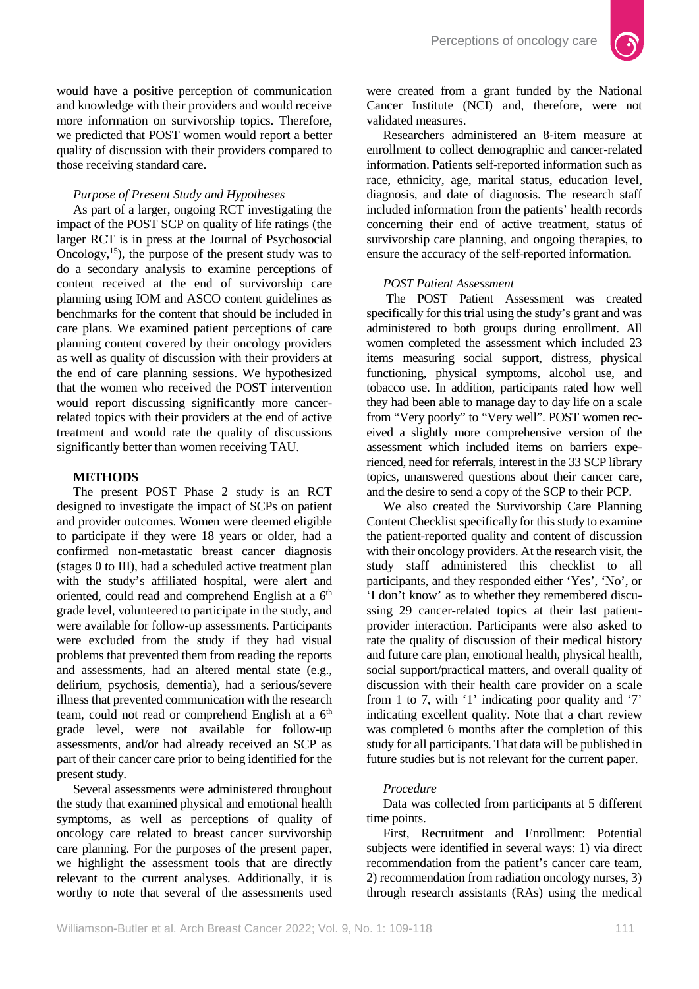

would have a positive perception of communication and knowledge with their providers and would receive more information on survivorship topics. Therefore, we predicted that POST women would report a better quality of discussion with their providers compared to those receiving standard care.

### *Purpose of Present Study and Hypotheses*

As part of a larger, ongoing RCT investigating the impact of the POST SCP on quality of life ratings (the larger RCT is in press at the Journal of Psychosocial Oncology,  $^{15}$ ), the purpose of the present study was to do a secondary analysis to examine perceptions of content received at the end of survivorship care planning using IOM and ASCO content guidelines as benchmarks for the content that should be included in care plans. We examined patient perceptions of care planning content covered by their oncology providers as well as quality of discussion with their providers at the end of care planning sessions. We hypothesized that the women who received the POST intervention would report discussing significantly more cancerrelated topics with their providers at the end of active treatment and would rate the quality of discussions significantly better than women receiving TAU.

#### **METHODS**

The present POST Phase 2 study is an RCT designed to investigate the impact of SCPs on patient and provider outcomes. Women were deemed eligible to participate if they were 18 years or older, had a confirmed non-metastatic breast cancer diagnosis (stages 0 to III), had a scheduled active treatment plan with the study's affiliated hospital, were alert and oriented, could read and comprehend English at a 6<sup>th</sup> grade level, volunteered to participate in the study, and were available for follow-up assessments. Participants were excluded from the study if they had visual problems that prevented them from reading the reports and assessments, had an altered mental state (e.g., delirium, psychosis, dementia), had a serious/severe illness that prevented communication with the research team, could not read or comprehend English at a  $6<sup>th</sup>$ grade level, were not available for follow-up assessments, and/or had already received an SCP as part of their cancer care prior to being identified for the present study.

Several assessments were administered throughout the study that examined physical and emotional health symptoms, as well as perceptions of quality of oncology care related to breast cancer survivorship care planning. For the purposes of the present paper, we highlight the assessment tools that are directly relevant to the current analyses. Additionally, it is worthy to note that several of the assessments used

were created from a grant funded by the National Cancer Institute (NCI) and, therefore, were not validated measures.

Researchers administered an 8-item measure at enrollment to collect demographic and cancer-related information. Patients self-reported information such as race, ethnicity, age, marital status, education level, diagnosis, and date of diagnosis. The research staff included information from the patients' health records concerning their end of active treatment, status of survivorship care planning, and ongoing therapies, to ensure the accuracy of the self-reported information.

### *POST Patient Assessment*

The POST Patient Assessment was created specifically for this trial using the study's grant and was administered to both groups during enrollment. All women completed the assessment which included 23 items measuring social support, distress, physical functioning, physical symptoms, alcohol use, and tobacco use. In addition, participants rated how well they had been able to manage day to day life on a scale from "Very poorly" to "Very well". POST women received a slightly more comprehensive version of the assessment which included items on barriers experienced, need for referrals, interest in the 33 SCP library topics, unanswered questions about their cancer care, and the desire to send a copy of the SCP to their PCP.

We also created the Survivorship Care Planning Content Checklist specifically for this study to examine the patient-reported quality and content of discussion with their oncology providers. At the research visit, the study staff administered this checklist to all participants, and they responded either 'Yes', 'No', or 'I don't know' as to whether they remembered discussing 29 cancer-related topics at their last patientprovider interaction. Participants were also asked to rate the quality of discussion of their medical history and future care plan, emotional health, physical health, social support/practical matters, and overall quality of discussion with their health care provider on a scale from 1 to 7, with '1' indicating poor quality and '7' indicating excellent quality. Note that a chart review was completed 6 months after the completion of this study for all participants. That data will be published in future studies but is not relevant for the current paper.

#### *Procedure*

Data was collected from participants at 5 different time points.

First, Recruitment and Enrollment: Potential subjects were identified in several ways: 1) via direct recommendation from the patient's cancer care team, 2) recommendation from radiation oncology nurses, 3) through research assistants (RAs) using the medical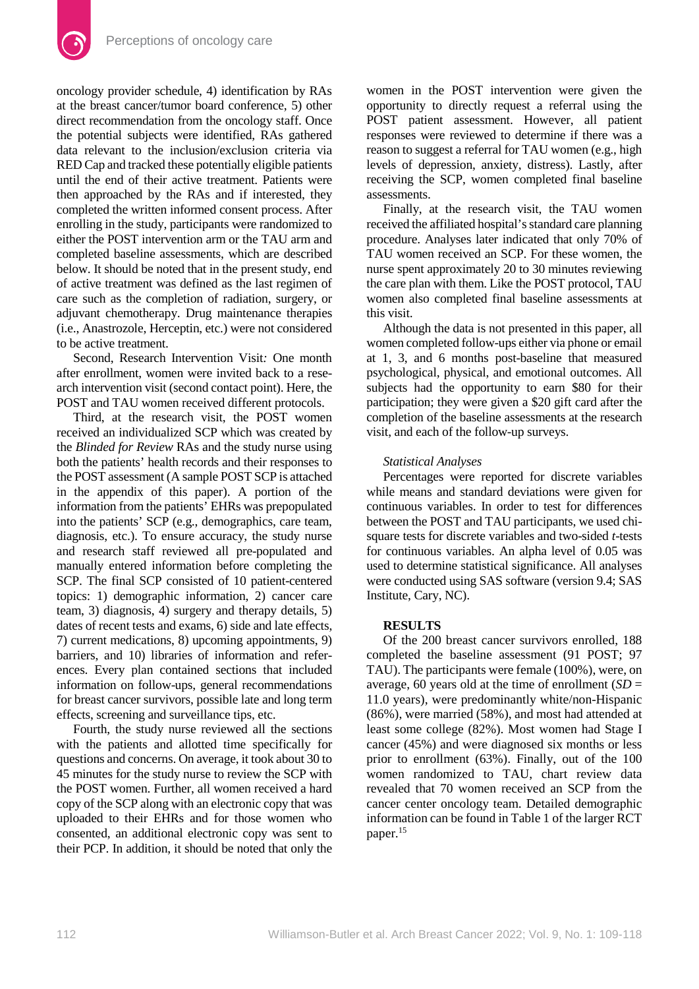

oncology provider schedule, 4) identification by RAs at the breast cancer/tumor board conference, 5) other direct recommendation from the oncology staff. Once the potential subjects were identified, RAs gathered data relevant to the inclusion/exclusion criteria via RED Cap and tracked these potentially eligible patients until the end of their active treatment. Patients were then approached by the RAs and if interested, they completed the written informed consent process. After enrolling in the study, participants were randomized to either the POST intervention arm or the TAU arm and completed baseline assessments, which are described below. It should be noted that in the present study, end of active treatment was defined as the last regimen of care such as the completion of radiation, surgery, or adjuvant chemotherapy. Drug maintenance therapies (i.e., Anastrozole, Herceptin, etc.) were not considered to be active treatment.

Second, Research Intervention Visit*:* One month after enrollment, women were invited back to a research intervention visit (second contact point). Here, the POST and TAU women received different protocols.

Third, at the research visit, the POST women received an individualized SCP which was created by the *Blinded for Review* RAs and the study nurse using both the patients' health records and their responses to the POST assessment (A sample POST SCP is attached in the appendix of this paper). A portion of the information from the patients' EHRs was prepopulated into the patients' SCP (e.g., demographics, care team, diagnosis, etc.). To ensure accuracy, the study nurse and research staff reviewed all pre-populated and manually entered information before completing the SCP. The final SCP consisted of 10 patient-centered topics: 1) demographic information, 2) cancer care team, 3) diagnosis, 4) surgery and therapy details, 5) dates of recent tests and exams, 6) side and late effects, 7) current medications, 8) upcoming appointments, 9) barriers, and 10) libraries of information and references. Every plan contained sections that included information on follow-ups, general recommendations for breast cancer survivors, possible late and long term effects, screening and surveillance tips, etc.

Fourth, the study nurse reviewed all the sections with the patients and allotted time specifically for questions and concerns. On average, it took about 30 to 45 minutes for the study nurse to review the SCP with the POST women. Further, all women received a hard copy of the SCP along with an electronic copy that was uploaded to their EHRs and for those women who consented, an additional electronic copy was sent to their PCP. In addition, it should be noted that only the

women in the POST intervention were given the opportunity to directly request a referral using the POST patient assessment. However, all patient responses were reviewed to determine if there was a reason to suggest a referral for TAU women (e.g., high levels of depression, anxiety, distress). Lastly, after receiving the SCP, women completed final baseline assessments.

Finally, at the research visit, the TAU women received the affiliated hospital's standard care planning procedure. Analyses later indicated that only 70% of TAU women received an SCP. For these women, the nurse spent approximately 20 to 30 minutes reviewing the care plan with them. Like the POST protocol, TAU women also completed final baseline assessments at this visit.

Although the data is not presented in this paper, all women completed follow-ups either via phone or email at 1, 3, and 6 months post-baseline that measured psychological, physical, and emotional outcomes. All subjects had the opportunity to earn \$80 for their participation; they were given a \$20 gift card after the completion of the baseline assessments at the research visit, and each of the follow-up surveys.

#### *Statistical Analyses*

Percentages were reported for discrete variables while means and standard deviations were given for continuous variables. In order to test for differences between the POST and TAU participants, we used chisquare tests for discrete variables and two-sided *t*-tests for continuous variables. An alpha level of 0.05 was used to determine statistical significance. All analyses were conducted using SAS software (version 9.4; SAS Institute, Cary, NC).

# **RESULTS**

Of the 200 breast cancer survivors enrolled, 188 completed the baseline assessment (91 POST; 97 TAU). The participants were female (100%), were, on average, 60 years old at the time of enrollment  $(SD =$ 11.0 years), were predominantly white/non-Hispanic (86%), were married (58%), and most had attended at least some college (82%). Most women had Stage I cancer (45%) and were diagnosed six months or less prior to enrollment (63%). Finally, out of the 100 women randomized to TAU, chart review data revealed that 70 women received an SCP from the cancer center oncology team. Detailed demographic information can be found in Table 1 of the larger RCT paper.15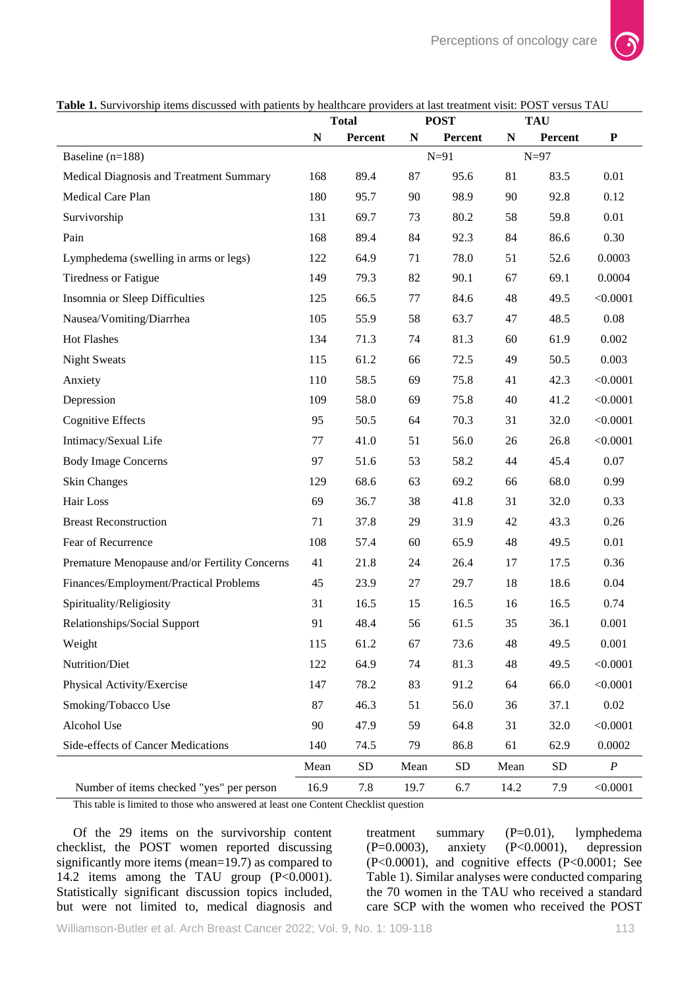

**Table 1.** Survivorship items discussed with patients by healthcare providers at last treatment visit: POST versus TAU

|                                               | <b>Total</b> |            | <b>POST</b> |            | <b>TAU</b> |            |                  |
|-----------------------------------------------|--------------|------------|-------------|------------|------------|------------|------------------|
|                                               | N            | Percent    | N           | Percent    | N          | Percent    | $\mathbf P$      |
| Baseline $(n=188)$                            |              |            |             | $N=91$     |            | $N=97$     |                  |
| Medical Diagnosis and Treatment Summary       | 168          | 89.4       | 87          | 95.6       | 81         | 83.5       | 0.01             |
| Medical Care Plan                             | 180          | 95.7       | 90          | 98.9       | 90         | 92.8       | 0.12             |
| Survivorship                                  | 131          | 69.7       | 73          | 80.2       | 58         | 59.8       | 0.01             |
| Pain                                          | 168          | 89.4       | 84          | 92.3       | 84         | 86.6       | 0.30             |
| Lymphedema (swelling in arms or legs)         | 122          | 64.9       | 71          | 78.0       | 51         | 52.6       | 0.0003           |
| <b>Tiredness or Fatigue</b>                   | 149          | 79.3       | 82          | 90.1       | 67         | 69.1       | 0.0004           |
| Insomnia or Sleep Difficulties                | 125          | 66.5       | 77          | 84.6       | 48         | 49.5       | < 0.0001         |
| Nausea/Vomiting/Diarrhea                      | 105          | 55.9       | 58          | 63.7       | 47         | 48.5       | 0.08             |
| Hot Flashes                                   | 134          | 71.3       | 74          | 81.3       | 60         | 61.9       | 0.002            |
| <b>Night Sweats</b>                           | 115          | 61.2       | 66          | 72.5       | 49         | 50.5       | 0.003            |
| Anxiety                                       | 110          | 58.5       | 69          | 75.8       | 41         | 42.3       | < 0.0001         |
| Depression                                    | 109          | 58.0       | 69          | 75.8       | 40         | 41.2       | < 0.0001         |
| <b>Cognitive Effects</b>                      | 95           | 50.5       | 64          | 70.3       | 31         | 32.0       | < 0.0001         |
| Intimacy/Sexual Life                          | 77           | 41.0       | 51          | 56.0       | 26         | 26.8       | < 0.0001         |
| <b>Body Image Concerns</b>                    | 97           | 51.6       | 53          | 58.2       | 44         | 45.4       | 0.07             |
| <b>Skin Changes</b>                           | 129          | 68.6       | 63          | 69.2       | 66         | 68.0       | 0.99             |
| Hair Loss                                     | 69           | 36.7       | 38          | 41.8       | 31         | 32.0       | 0.33             |
| <b>Breast Reconstruction</b>                  | 71           | 37.8       | 29          | 31.9       | 42         | 43.3       | 0.26             |
| Fear of Recurrence                            | 108          | 57.4       | 60          | 65.9       | 48         | 49.5       | 0.01             |
| Premature Menopause and/or Fertility Concerns | 41           | 21.8       | 24          | 26.4       | 17         | 17.5       | 0.36             |
| Finances/Employment/Practical Problems        | 45           | 23.9       | 27          | 29.7       | 18         | 18.6       | 0.04             |
| Spirituality/Religiosity                      | 31           | 16.5       | 15          | 16.5       | 16         | 16.5       | 0.74             |
| Relationships/Social Support                  | 91           | 48.4       | 56          | 61.5       | 35         | 36.1       | 0.001            |
| Weight                                        | 115          | 61.2       | 67          | 73.6       | 48         | 49.5       | 0.001            |
| Nutrition/Diet                                | 122          | 64.9       | 74          | 81.3       | 48         | 49.5       | < 0.0001         |
| Physical Activity/Exercise                    | 147          | 78.2       | 83          | 91.2       | 64         | 66.0       | < 0.0001         |
| Smoking/Tobacco Use                           | 87           | 46.3       | 51          | 56.0       | 36         | 37.1       | 0.02             |
| Alcohol Use                                   | 90           | 47.9       | 59          | 64.8       | 31         | 32.0       | < 0.0001         |
| Side-effects of Cancer Medications            | 140          | 74.5       | 79          | 86.8       | 61         | 62.9       | 0.0002           |
|                                               | Mean         | ${\rm SD}$ | Mean        | ${\rm SD}$ | Mean       | ${\rm SD}$ | $\boldsymbol{P}$ |
| Number of items checked "yes" per person      | 16.9         | 7.8        | 19.7        | 6.7        | 14.2       | 7.9        | < 0.0001         |

This table is limited to those who answered at least one Content Checklist question

Of the 29 items on the survivorship content checklist, the POST women reported discussing significantly more items (mean=19.7) as compared to 14.2 items among the TAU group (P<0.0001). Statistically significant discussion topics included, but were not limited to, medical diagnosis and treatment summary (P=0.01), lymphedema (P=0.0003), anxiety (P<0.0001), depression (P<0.0001), and cognitive effects (P<0.0001; See Table 1). Similar analyses were conducted comparing the 70 women in the TAU who received a standard care SCP with the women who received the POST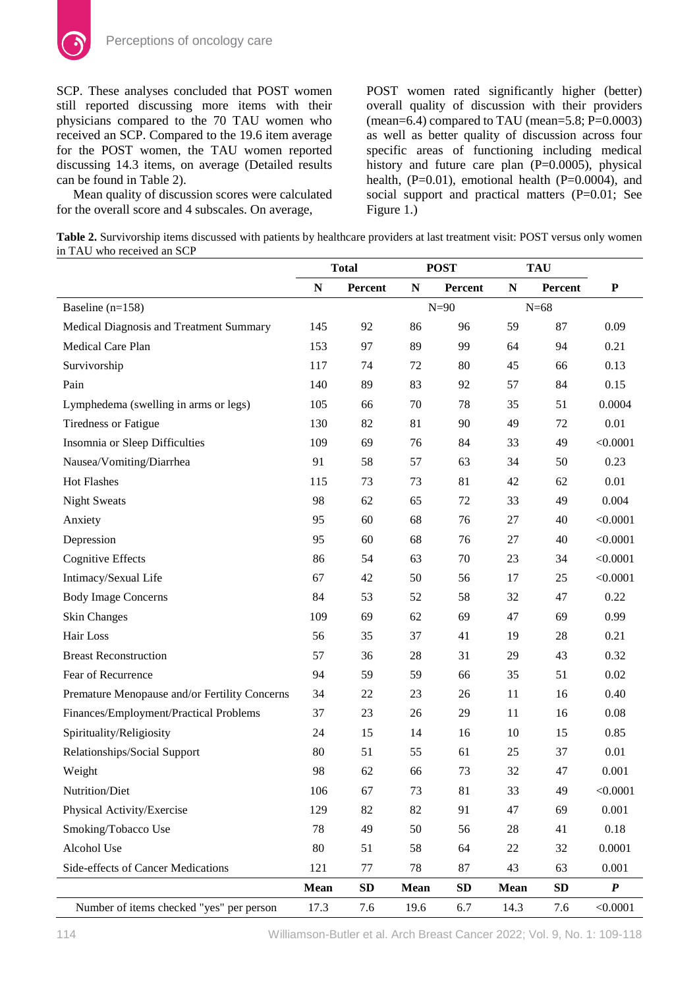SCP. These analyses concluded that POST women still reported discussing more items with their physicians compared to the 70 TAU women who received an SCP. Compared to the 19.6 item average for the POST women, the TAU women reported discussing 14.3 items, on average (Detailed results can be found in Table 2).

Mean quality of discussion scores were calculated for the overall score and 4 subscales. On average,

POST women rated significantly higher (better) overall quality of discussion with their providers (mean=6.4) compared to TAU (mean=5.8; P=0.0003) as well as better quality of discussion across four specific areas of functioning including medical history and future care plan (P=0.0005), physical health,  $(P=0.01)$ , emotional health  $(P=0.0004)$ , and social support and practical matters (P=0.01; See Figure 1.)

**Table 2.** Survivorship items discussed with patients by healthcare providers at last treatment visit: POST versus only women in TAU who received an SCP

|                                               | <b>Total</b> |         | <b>POST</b> |         | <b>TAU</b>  |         |                  |
|-----------------------------------------------|--------------|---------|-------------|---------|-------------|---------|------------------|
|                                               | ${\bf N}$    | Percent | N           | Percent | ${\bf N}$   | Percent | ${\bf P}$        |
| Baseline $(n=158)$                            |              |         |             | $N=90$  |             | $N=68$  |                  |
| Medical Diagnosis and Treatment Summary       | 145          | 92      | 86          | 96      | 59          | 87      | 0.09             |
| Medical Care Plan                             | 153          | 97      | 89          | 99      | 64          | 94      | 0.21             |
| Survivorship                                  | 117          | 74      | 72          | 80      | 45          | 66      | 0.13             |
| Pain                                          | 140          | 89      | 83          | 92      | 57          | 84      | 0.15             |
| Lymphedema (swelling in arms or legs)         | 105          | 66      | 70          | 78      | 35          | 51      | 0.0004           |
| <b>Tiredness or Fatigue</b>                   | 130          | 82      | 81          | 90      | 49          | 72      | 0.01             |
| Insomnia or Sleep Difficulties                | 109          | 69      | 76          | 84      | 33          | 49      | < 0.0001         |
| Nausea/Vomiting/Diarrhea                      | 91           | 58      | 57          | 63      | 34          | 50      | 0.23             |
| <b>Hot Flashes</b>                            | 115          | 73      | 73          | 81      | 42          | 62      | 0.01             |
| <b>Night Sweats</b>                           | 98           | 62      | 65          | 72      | 33          | 49      | 0.004            |
| Anxiety                                       | 95           | 60      | 68          | 76      | 27          | 40      | < 0.0001         |
| Depression                                    | 95           | 60      | 68          | 76      | 27          | 40      | < 0.0001         |
| <b>Cognitive Effects</b>                      | 86           | 54      | 63          | 70      | 23          | 34      | < 0.0001         |
| Intimacy/Sexual Life                          | 67           | 42      | 50          | 56      | 17          | 25      | < 0.0001         |
| <b>Body Image Concerns</b>                    | 84           | 53      | 52          | 58      | 32          | 47      | 0.22             |
| <b>Skin Changes</b>                           | 109          | 69      | 62          | 69      | 47          | 69      | 0.99             |
| Hair Loss                                     | 56           | 35      | 37          | 41      | 19          | 28      | 0.21             |
| <b>Breast Reconstruction</b>                  | 57           | 36      | 28          | 31      | 29          | 43      | 0.32             |
| Fear of Recurrence                            | 94           | 59      | 59          | 66      | 35          | 51      | 0.02             |
| Premature Menopause and/or Fertility Concerns | 34           | 22      | 23          | 26      | 11          | 16      | 0.40             |
| Finances/Employment/Practical Problems        | 37           | 23      | 26          | 29      | 11          | 16      | 0.08             |
| Spirituality/Religiosity                      | 24           | 15      | 14          | 16      | 10          | 15      | 0.85             |
| Relationships/Social Support                  | 80           | 51      | 55          | 61      | 25          | 37      | 0.01             |
| Weight                                        | 98           | 62      | 66          | 73      | 32          | 47      | 0.001            |
| Nutrition/Diet                                | 106          | 67      | 73          | 81      | 33          | 49      | < 0.0001         |
| Physical Activity/Exercise                    | 129          | 82      | 82          | 91      | 47          | 69      | 0.001            |
| Smoking/Tobacco Use                           | 78           | 49      | 50          | 56      | 28          | 41      | $0.18\,$         |
| Alcohol Use                                   | 80           | 51      | 58          | 64      | 22          | 32      | 0.0001           |
| Side-effects of Cancer Medications            | 121          | 77      | 78          | 87      | 43          | 63      | 0.001            |
|                                               | <b>Mean</b>  | SD      | <b>Mean</b> | SD      | <b>Mean</b> | SD      | $\boldsymbol{P}$ |
| Number of items checked "yes" per person      | 17.3         | 7.6     | 19.6        | 6.7     | 14.3        | 7.6     | < 0.0001         |

114 Williamson-Butler et al. Arch Breast Cancer 2022; Vol. 9, No. 1: 109-118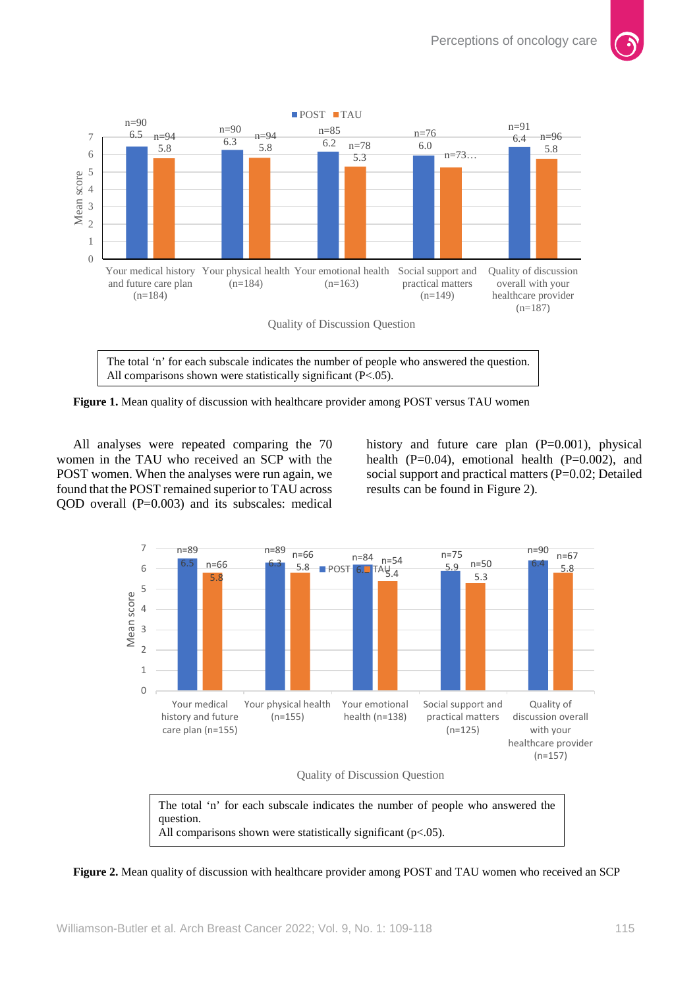

The total 'n' for each subscale indicates the number of people who answered the question. All comparisons shown were statistically significant (P<.05).

**Figure 1.** Mean quality of discussion with healthcare provider among POST versus TAU women

All analyses were repeated comparing the 70 women in the TAU who received an SCP with the POST women. When the analyses were run again, we found that the POST remained superior to TAU across QOD overall (P=0.003) and its subscales: medical

history and future care plan (P=0.001), physical health  $(P=0.04)$ , emotional health  $(P=0.002)$ , and social support and practical matters (P=0.02; Detailed results can be found in Figure 2).



The total 'n' for each subscale indicates the number of people who answered the question. All comparisons shown were statistically significant (p<.05).

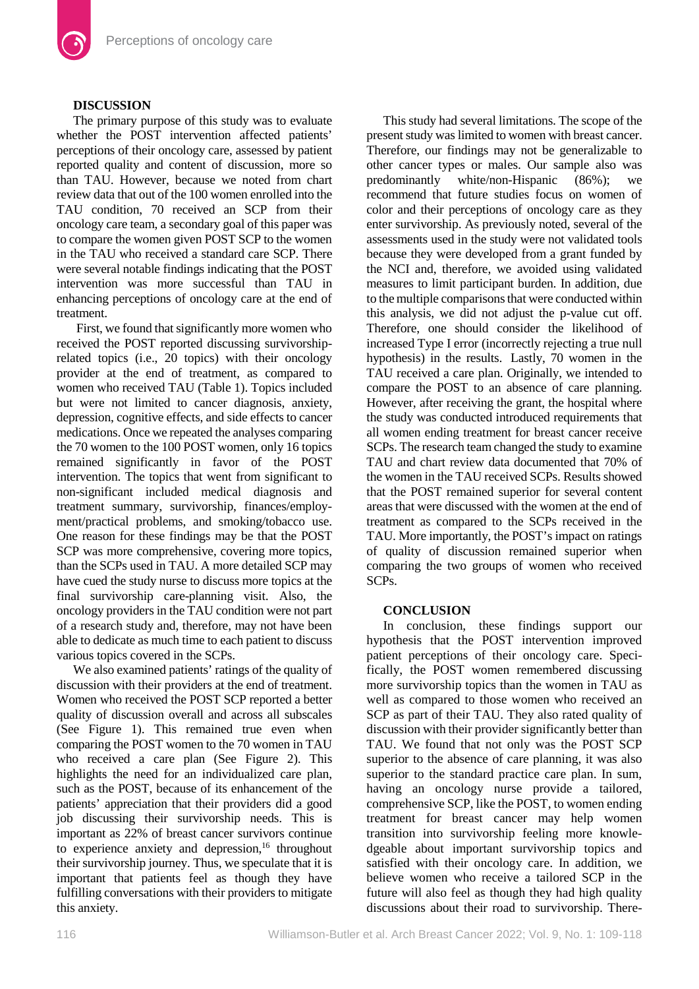# **DISCUSSION**

The primary purpose of this study was to evaluate whether the POST intervention affected patients' perceptions of their oncology care, assessed by patient reported quality and content of discussion, more so than TAU. However, because we noted from chart review data that out of the 100 women enrolled into the TAU condition, 70 received an SCP from their oncology care team, a secondary goal of this paper was to compare the women given POST SCP to the women in the TAU who received a standard care SCP. There were several notable findings indicating that the POST intervention was more successful than TAU in enhancing perceptions of oncology care at the end of treatment.

First, we found that significantly more women who received the POST reported discussing survivorshiprelated topics (i.e., 20 topics) with their oncology provider at the end of treatment, as compared to women who received TAU (Table 1). Topics included but were not limited to cancer diagnosis, anxiety, depression, cognitive effects, and side effects to cancer medications. Once we repeated the analyses comparing the 70 women to the 100 POST women, only 16 topics remained significantly in favor of the POST intervention. The topics that went from significant to non-significant included medical diagnosis and treatment summary, survivorship, finances/employment/practical problems, and smoking/tobacco use. One reason for these findings may be that the POST SCP was more comprehensive, covering more topics, than the SCPs used in TAU. A more detailed SCP may have cued the study nurse to discuss more topics at the final survivorship care-planning visit. Also, the oncology providers in the TAU condition were not part of a research study and, therefore, may not have been able to dedicate as much time to each patient to discuss various topics covered in the SCPs.

We also examined patients' ratings of the quality of discussion with their providers at the end of treatment. Women who received the POST SCP reported a better quality of discussion overall and across all subscales (See Figure 1). This remained true even when comparing the POST women to the 70 women in TAU who received a care plan (See Figure 2). This highlights the need for an individualized care plan, such as the POST, because of its enhancement of the patients' appreciation that their providers did a good job discussing their survivorship needs. This is important as 22% of breast cancer survivors continue to experience anxiety and depression, <sup>16</sup> throughout their survivorship journey. Thus, we speculate that it is important that patients feel as though they have fulfilling conversations with their providers to mitigate this anxiety.

This study had several limitations. The scope of the present study was limited to women with breast cancer. Therefore, our findings may not be generalizable to other cancer types or males. Our sample also was predominantly white/non-Hispanic (86%); we recommend that future studies focus on women of color and their perceptions of oncology care as they enter survivorship. As previously noted, several of the assessments used in the study were not validated tools because they were developed from a grant funded by the NCI and, therefore, we avoided using validated measures to limit participant burden. In addition, due to the multiple comparisons that were conducted within this analysis, we did not adjust the p-value cut off. Therefore, one should consider the likelihood of increased Type I error (incorrectly rejecting a true null hypothesis) in the results. Lastly, 70 women in the TAU received a care plan. Originally, we intended to compare the POST to an absence of care planning. However, after receiving the grant, the hospital where the study was conducted introduced requirements that all women ending treatment for breast cancer receive SCPs. The research team changed the study to examine TAU and chart review data documented that 70% of the women in the TAU received SCPs. Results showed that the POST remained superior for several content areas that were discussed with the women at the end of treatment as compared to the SCPs received in the TAU. More importantly, the POST's impact on ratings of quality of discussion remained superior when comparing the two groups of women who received SCPs.

# **CONCLUSION**

In conclusion, these findings support our hypothesis that the POST intervention improved patient perceptions of their oncology care. Specifically, the POST women remembered discussing more survivorship topics than the women in TAU as well as compared to those women who received an SCP as part of their TAU. They also rated quality of discussion with their provider significantly better than TAU. We found that not only was the POST SCP superior to the absence of care planning, it was also superior to the standard practice care plan. In sum, having an oncology nurse provide a tailored, comprehensive SCP, like the POST, to women ending treatment for breast cancer may help women transition into survivorship feeling more knowledgeable about important survivorship topics and satisfied with their oncology care. In addition, we believe women who receive a tailored SCP in the future will also feel as though they had high quality discussions about their road to survivorship. There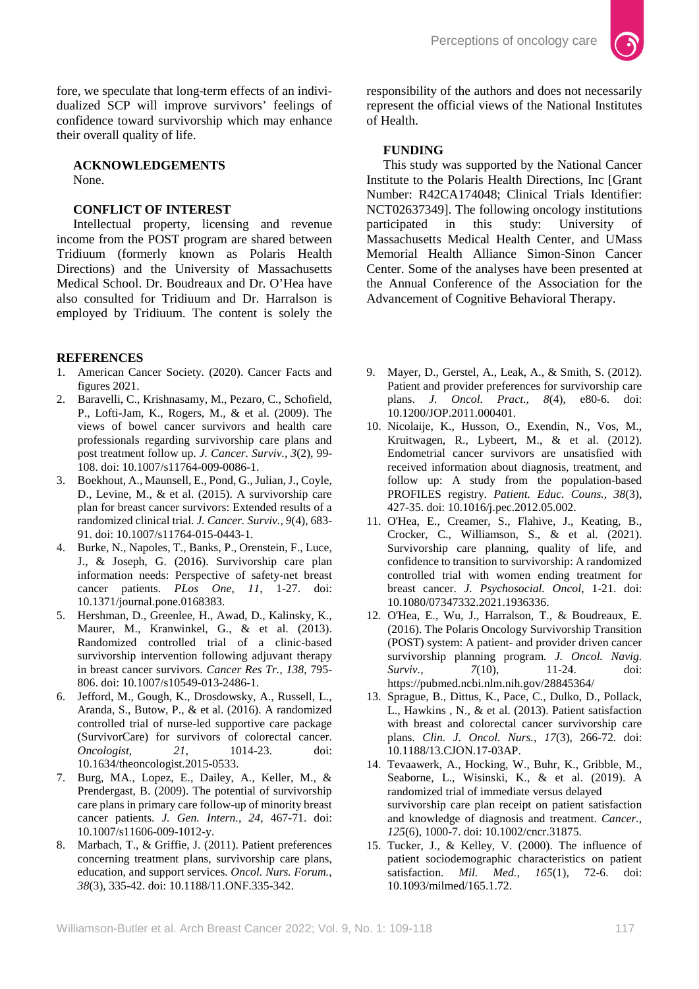fore, we speculate that long-term effects of an individualized SCP will improve survivors' feelings of confidence toward survivorship which may enhance their overall quality of life.

**ACKNOWLEDGEMENTS** None.

# **CONFLICT OF INTEREST**

Intellectual property, licensing and revenue income from the POST program are shared between Tridiuum (formerly known as Polaris Health Directions) and the University of Massachusetts Medical School. Dr. Boudreaux and Dr. O'Hea have also consulted for Tridiuum and Dr. Harralson is employed by Tridiuum. The content is solely the

### **REFERENCES**

- 1. American Cancer Society. (2020). Cancer Facts and figures 2021.
- 2. Baravelli, C., Krishnasamy, M., Pezaro, C., Schofield, P., Lofti-Jam, K., Rogers, M., & et al. (2009). The views of bowel cancer survivors and health care professionals regarding survivorship care plans and post treatment follow up. *J. Cancer. Surviv., 3*(2), 99- 108. doi: 10.1007/s11764-009-0086-1.
- 3. Boekhout, A., Maunsell, E., Pond, G., Julian, J., Coyle, D., Levine, M., & et al. (2015). A survivorship care plan for breast cancer survivors: Extended results of a randomized clinical trial. *J. Cancer. Surviv., 9*(4), 683- 91. doi: 10.1007/s11764-015-0443-1.
- 4. Burke, N., Napoles, T., Banks, P., Orenstein, F., Luce, J., & Joseph, G. (2016). Survivorship care plan information needs: Perspective of safety-net breast cancer patients. *PLos One, 11*, 1-27. doi: 10.1371/journal.pone.0168383.
- 5. Hershman, D., Greenlee, H., Awad, D., Kalinsky, K., Maurer, M., Kranwinkel, G., & et al. (2013). Randomized controlled trial of a clinic-based survivorship intervention following adjuvant therapy in breast cancer survivors. *Cancer Res Tr., 138*, 795- 806. doi: 10.1007/s10549-013-2486-1.
- 6. Jefford, M., Gough, K., Drosdowsky, A., Russell, L., Aranda, S., Butow, P., & et al. (2016). A randomized controlled trial of nurse-led supportive care package (SurvivorCare) for survivors of colorectal cancer. *Oncologist, 21*, 1014-23. doi: 10.1634/theoncologist.2015-0533.
- 7. Burg, MA., Lopez, E., Dailey, A., Keller, M., & Prendergast, B. (2009). The potential of survivorship care plans in primary care follow-up of minority breast cancer patients. *J. Gen. Intern., 24*, 467-71. doi: 10.1007/s11606-009-1012-y.
- 8. Marbach, T., & Griffie, J. (2011). Patient preferences concerning treatment plans, survivorship care plans, education, and support services. *Oncol. Nurs. Forum., 38*(3), 335-42. doi: 10.1188/11.ONF.335-342.

responsibility of the authors and does not necessarily represent the official views of the National Institutes of Health.

# **FUNDING**

This study was supported by the National Cancer Institute to the Polaris Health Directions, Inc [Grant Number: R42CA174048; Clinical Trials Identifier: NCT02637349]. The following oncology institutions<br>participated in this study: University of this study: University of Massachusetts Medical Health Center, and UMass Memorial Health Alliance Simon-Sinon Cancer Center. Some of the analyses have been presented at the Annual Conference of the Association for the Advancement of Cognitive Behavioral Therapy.

- 9. Mayer, D., Gerstel, A., Leak, A., & Smith, S. (2012). Patient and provider preferences for survivorship care plans. *J. Oncol. Pract., 8*(4), e80-6. doi: 10.1200/JOP.2011.000401.
- 10. Nicolaije, K., Husson, O., Exendin, N., Vos, M., Kruitwagen, R., Lybeert, M., & et al. (2012). Endometrial cancer survivors are unsatisfied with received information about diagnosis, treatment, and follow up: A study from the population-based PROFILES registry. *Patient. Educ. Couns., 38*(3), 427-35. doi: 10.1016/j.pec.2012.05.002.
- 11. O'Hea, E., Creamer, S., Flahive, J., Keating, B., Crocker, C., Williamson, S., & et al. (2021). Survivorship care planning, quality of life, and confidence to transition to survivorship: A randomized controlled trial with women ending treatment for breast cancer. *J. Psychosocial. Oncol*, 1-21. doi: 10.1080/07347332.2021.1936336.
- 12. O'Hea, E., Wu, J., Harralson, T., & Boudreaux, E. (2016). The Polaris Oncology Survivorship Transition (POST) system: A patient- and provider driven cancer survivorship planning program. *J. Oncol. Navig. Surviv.*, *7*(10), 11-24. doi: https://pubmed.ncbi.nlm.nih.gov/28845364/
- 13. Sprague, B., Dittus, K., Pace, C., Dulko, D., Pollack, L., Hawkins , N., & et al. (2013). Patient satisfaction with breast and colorectal cancer survivorship care plans. *Clin. J. Oncol. Nurs., 17*(3), 266-72. doi: 10.1188/13.CJON.17-03AP.
- 14. Tevaawerk, A., Hocking, W., Buhr, K., Gribble, M., Seaborne, L., Wisinski, K., & et al. (2019). A randomized trial of immediate versus delayed survivorship care plan receipt on patient satisfaction and knowledge of diagnosis and treatment. *Cancer., 125*(6), 1000-7. doi: 10.1002/cncr.31875.
- 15. Tucker, J., & Kelley, V. (2000). The influence of patient sociodemographic characteristics on patient satisfaction. *Mil. Med.*, 165(1), 72-6. doi: satisfaction. *Mil. Med., 165*(1), 72-6. doi: 10.1093/milmed/165.1.72.